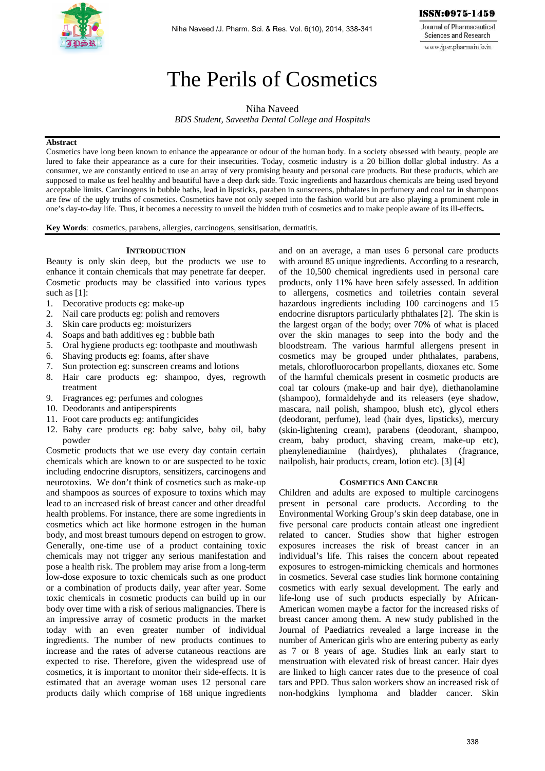

**Journal of Pharmaceutical Sciences and Research** www.jpsr.pharmainfo.in

# The Perils of Cosmetics

Niha Naveed *BDS Student, Saveetha Dental College and Hospitals* 

## **Abstract**

Cosmetics have long been known to enhance the appearance or odour of the human body. In a society obsessed with beauty, people are lured to fake their appearance as a cure for their insecurities. Today, cosmetic industry is a 20 billion dollar global industry. As a consumer, we are constantly enticed to use an array of very promising beauty and personal care products. But these products, which are supposed to make us feel healthy and beautiful have a deep dark side. Toxic ingredients and hazardous chemicals are being used beyond acceptable limits. Carcinogens in bubble baths, lead in lipsticks, paraben in sunscreens, phthalates in perfumery and coal tar in shampoos are few of the ugly truths of cosmetics. Cosmetics have not only seeped into the fashion world but are also playing a prominent role in one's day-to-day life. Thus, it becomes a necessity to unveil the hidden truth of cosmetics and to make people aware of its ill-effects**.** 

**Key Words**: cosmetics, parabens, allergies, carcinogens, sensitisation, dermatitis.

# **INTRODUCTION**

Beauty is only skin deep, but the products we use to enhance it contain chemicals that may penetrate far deeper. Cosmetic products may be classified into various types such as [1]:

- 1. Decorative products eg: make-up
- 2. Nail care products eg: polish and removers
- 3. Skin care products eg: moisturizers
- 4. Soaps and bath additives eg : bubble bath
- 5. Oral hygiene products eg: toothpaste and mouthwash
- 6. Shaving products eg: foams, after shave
- 7. Sun protection eg: sunscreen creams and lotions
- 8. Hair care products eg: shampoo, dyes, regrowth treatment
- 9. Fragrances eg: perfumes and colognes
- 10. Deodorants and antiperspirents
- 11. Foot care products eg: antifungicides
- 12. Baby care products eg: baby salve, baby oil, baby powder

Cosmetic products that we use every day contain certain chemicals which are known to or are suspected to be toxic including endocrine disruptors, sensitizers, carcinogens and neurotoxins. We don't think of cosmetics such as make-up and shampoos as sources of exposure to toxins which may lead to an increased risk of breast cancer and other dreadful health problems. For instance, there are some ingredients in cosmetics which act like hormone estrogen in the human body, and most breast tumours depend on estrogen to grow. Generally, one-time use of a product containing toxic chemicals may not trigger any serious manifestation and pose a health risk. The problem may arise from a long-term low-dose exposure to toxic chemicals such as one product or a combination of products daily, year after year. Some toxic chemicals in cosmetic products can build up in our body over time with a risk of serious malignancies. There is an impressive array of cosmetic products in the market today with an even greater number of individual ingredients. The number of new products continues to increase and the rates of adverse cutaneous reactions are expected to rise. Therefore, given the widespread use of cosmetics, it is important to monitor their side-effects. It is estimated that an average woman uses 12 personal care products daily which comprise of 168 unique ingredients

and on an average, a man uses 6 personal care products with around 85 unique ingredients. According to a research, of the 10,500 chemical ingredients used in personal care products, only 11% have been safely assessed. In addition to allergens, cosmetics and toiletries contain several hazardous ingredients including 100 carcinogens and 15 endocrine disruptors particularly phthalates [2]. The skin is the largest organ of the body; over 70% of what is placed over the skin manages to seep into the body and the bloodstream. The various harmful allergens present in cosmetics may be grouped under phthalates, parabens, metals, chlorofluorocarbon propellants, dioxanes etc. Some of the harmful chemicals present in cosmetic products are coal tar colours (make-up and hair dye), diethanolamine (shampoo), formaldehyde and its releasers (eye shadow, mascara, nail polish, shampoo, blush etc), glycol ethers (deodorant, perfume), lead (hair dyes, lipsticks), mercury (skin-lightening cream), parabens (deodorant, shampoo, cream, baby product, shaving cream, make-up etc), phenylenediamine (hairdyes), phthalates (fragrance, nailpolish, hair products, cream, lotion etc). [3] [4]

#### **COSMETICS AND CANCER**

Children and adults are exposed to multiple carcinogens present in personal care products. According to the Environmental Working Group's skin deep database, one in five personal care products contain atleast one ingredient related to cancer. Studies show that higher estrogen exposures increases the risk of breast cancer in an individual's life. This raises the concern about repeated exposures to estrogen-mimicking chemicals and hormones in cosmetics. Several case studies link hormone containing cosmetics with early sexual development. The early and life-long use of such products especially by African-American women maybe a factor for the increased risks of breast cancer among them. A new study published in the Journal of Paediatrics revealed a large increase in the number of American girls who are entering puberty as early as 7 or 8 years of age. Studies link an early start to menstruation with elevated risk of breast cancer. Hair dyes are linked to high cancer rates due to the presence of coal tars and PPD. Thus salon workers show an increased risk of non-hodgkins lymphoma and bladder cancer. Skin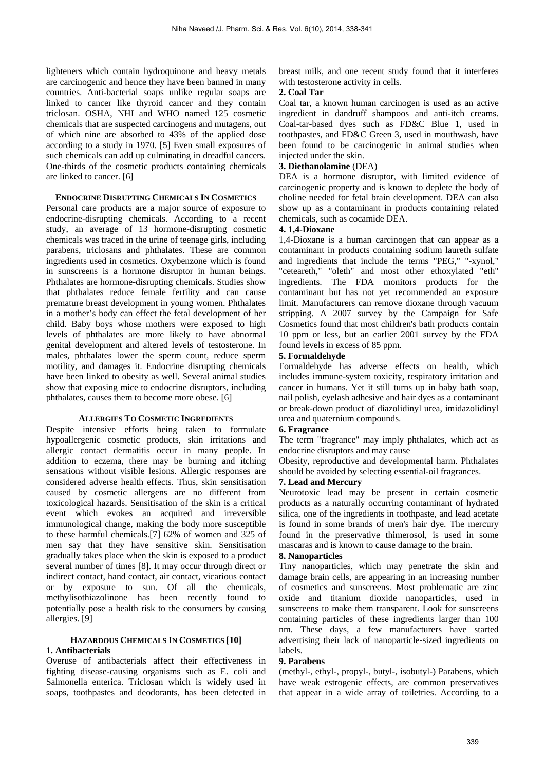lighteners which contain hydroquinone and heavy metals are carcinogenic and hence they have been banned in many countries. Anti-bacterial soaps unlike regular soaps are linked to cancer like thyroid cancer and they contain triclosan. OSHA, NHI and WHO named 125 cosmetic chemicals that are suspected carcinogens and mutagens, out of which nine are absorbed to 43% of the applied dose according to a study in 1970. [5] Even small exposures of such chemicals can add up culminating in dreadful cancers. One-thirds of the cosmetic products containing chemicals are linked to cancer. [6]

#### **ENDOCRINE DISRUPTING CHEMICALS IN COSMETICS**

Personal care products are a major source of exposure to endocrine-disrupting chemicals. According to a recent study, an average of 13 hormone-disrupting cosmetic chemicals was traced in the urine of teenage girls, including parabens, triclosans and phthalates. These are common ingredients used in cosmetics. Oxybenzone which is found in sunscreens is a hormone disruptor in human beings. Phthalates are hormone-disrupting chemicals. Studies show that phthalates reduce female fertility and can cause premature breast development in young women. Phthalates in a mother's body can effect the fetal development of her child. Baby boys whose mothers were exposed to high levels of phthalates are more likely to have abnormal genital development and altered levels of testosterone. In males, phthalates lower the sperm count, reduce sperm motility, and damages it. Endocrine disrupting chemicals have been linked to obesity as well. Several animal studies show that exposing mice to endocrine disruptors, including phthalates, causes them to become more obese. [6]

## **ALLERGIES TO COSMETIC INGREDIENTS**

Despite intensive efforts being taken to formulate hypoallergenic cosmetic products, skin irritations and allergic contact dermatitis occur in many people. In addition to eczema, there may be burning and itching sensations without visible lesions. Allergic responses are considered adverse health effects. Thus, skin sensitisation caused by cosmetic allergens are no different from toxicological hazards. Sensitisation of the skin is a critical event which evokes an acquired and irreversible immunological change, making the body more susceptible to these harmful chemicals.[7] 62% of women and 325 of men say that they have sensitive skin. Sensitisation gradually takes place when the skin is exposed to a product several number of times [8]. It may occur through direct or indirect contact, hand contact, air contact, vicarious contact or by exposure to sun. Of all the chemicals, methylisothiazolinone has been recently found to potentially pose a health risk to the consumers by causing allergies. [9]

# **HAZARDOUS CHEMICALS IN COSMETICS [10] 1. Antibacterials**

Overuse of antibacterials affect their effectiveness in fighting disease-causing organisms such as E. coli and Salmonella enterica. Triclosan which is widely used in soaps, toothpastes and deodorants, has been detected in breast milk, and one recent study found that it interferes with testosterone activity in cells.

## **2. Coal Tar**

Coal tar, a known human carcinogen is used as an active ingredient in dandruff shampoos and anti-itch creams. Coal-tar-based dyes such as FD&C Blue 1, used in toothpastes, and FD&C Green 3, used in mouthwash, have been found to be carcinogenic in animal studies when injected under the skin.

# **3. Diethanolamine** (DEA)

DEA is a hormone disruptor, with limited evidence of carcinogenic property and is known to deplete the body of choline needed for fetal brain development. DEA can also show up as a contaminant in products containing related chemicals, such as cocamide DEA.

# **4. 1,4-Dioxane**

1,4-Dioxane is a human carcinogen that can appear as a contaminant in products containing sodium laureth sulfate and ingredients that include the terms "PEG," "-xynol," "ceteareth," "oleth" and most other ethoxylated "eth" ingredients. The FDA monitors products for the contaminant but has not yet recommended an exposure limit. Manufacturers can remove dioxane through vacuum stripping. A 2007 survey by the Campaign for Safe Cosmetics found that most children's bath products contain 10 ppm or less, but an earlier 2001 survey by the FDA found levels in excess of 85 ppm.

# **5. Formaldehyde**

Formaldehyde has adverse effects on health, which includes immune-system toxicity, respiratory irritation and cancer in humans. Yet it still turns up in baby bath soap, nail polish, eyelash adhesive and hair dyes as a contaminant or break-down product of diazolidinyl urea, imidazolidinyl urea and quaternium compounds.

# **6. Fragrance**

The term "fragrance" may imply phthalates, which act as endocrine disruptors and may cause

Obesity, reproductive and developmental harm. Phthalates should be avoided by selecting essential-oil fragrances.

#### **7. Lead and Mercury**

Neurotoxic lead may be present in certain cosmetic products as a naturally occurring contaminant of hydrated silica, one of the ingredients in toothpaste, and lead acetate is found in some brands of men's hair dye. The mercury found in the preservative thimerosol, is used in some mascaras and is known to cause damage to the brain.

# **8. Nanoparticles**

Tiny nanoparticles, which may penetrate the skin and damage brain cells, are appearing in an increasing number of cosmetics and sunscreens. Most problematic are zinc oxide and titanium dioxide nanoparticles, used in sunscreens to make them transparent. Look for sunscreens containing particles of these ingredients larger than 100 nm. These days, a few manufacturers have started advertising their lack of nanoparticle-sized ingredients on labels.

# **9. Parabens**

(methyl-, ethyl-, propyl-, butyl-, isobutyl-) Parabens, which have weak estrogenic effects, are common preservatives that appear in a wide array of toiletries. According to a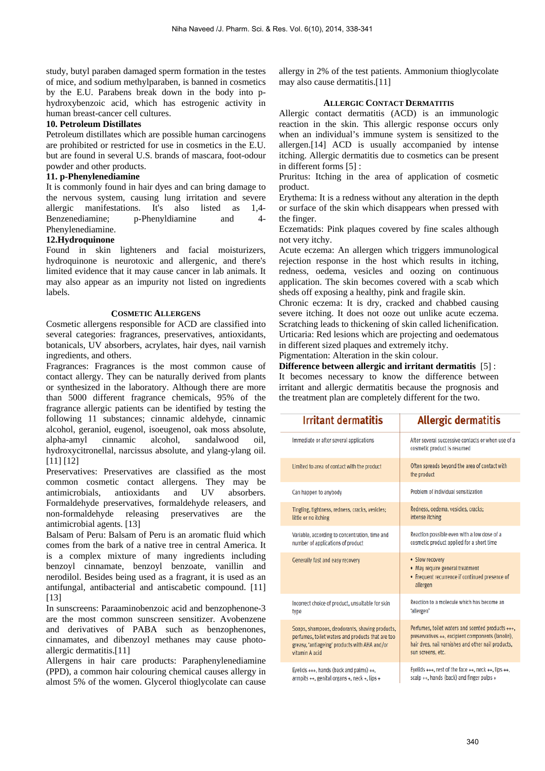study, butyl paraben damaged sperm formation in the testes of mice, and sodium methylparaben, is banned in cosmetics by the E.U. Parabens break down in the body into phydroxybenzoic acid, which has estrogenic activity in human breast-cancer cell cultures.

# **10. Petroleum Distillates**

Petroleum distillates which are possible human carcinogens are prohibited or restricted for use in cosmetics in the E.U. but are found in several U.S. brands of mascara, foot-odour powder and other products.

# **11. p-Phenylenediamine**

It is commonly found in hair dyes and can bring damage to the nervous system, causing lung irritation and severe allergic manifestations. It's also listed as 1,4- Benzenediamine; p-Phenyldiamine and 4- Phenylenediamine.

# **12.Hydroquinone**

Found in skin lighteners and facial moisturizers, hydroquinone is neurotoxic and allergenic, and there's limited evidence that it may cause cancer in lab animals. It may also appear as an impurity not listed on ingredients labels.

# **COSMETIC ALLERGENS**

Cosmetic allergens responsible for ACD are classified into several categories: fragrances, preservatives, antioxidants, botanicals, UV absorbers, acrylates, hair dyes, nail varnish ingredients, and others.

Fragrances: Fragrances is the most common cause of contact allergy. They can be naturally derived from plants or synthesized in the laboratory. Although there are more than 5000 different fragrance chemicals, 95% of the fragrance allergic patients can be identified by testing the following 11 substances; cinnamic aldehyde, cinnamic alcohol, geraniol, eugenol, isoeugenol, oak moss absolute, alpha-amyl cinnamic alcohol, sandalwood oil, hydroxycitronellal, narcissus absolute, and ylang-ylang oil. [11] [12]

Preservatives: Preservatives are classified as the most common cosmetic contact allergens. They may be antimicrobials, antioxidants and UV absorbers. Formaldehyde preservatives, formaldehyde releasers, and non-formaldehyde releasing preservatives are the antimicrobial agents. [13]

Balsam of Peru: Balsam of Peru is an aromatic fluid which comes from the bark of a native tree in central America. It is a complex mixture of many ingredients including benzoyl cinnamate, benzoyl benzoate, vanillin and nerodilol. Besides being used as a fragrant, it is used as an antifungal, antibacterial and antiscabetic compound. [11] [13]

In sunscreens: Paraaminobenzoic acid and benzophenone-3 are the most common sunscreen sensitizer. Avobenzene and derivatives of PABA such as benzophenones, cinnamates, and dibenzoyl methanes may cause photoallergic dermatitis.[11]

Allergens in hair care products: Paraphenylenediamine (PPD), a common hair colouring chemical causes allergy in almost 5% of the women. Glycerol thioglycolate can cause allergy in 2% of the test patients. Ammonium thioglycolate may also cause dermatitis.[11]

# **ALLERGIC CONTACT DERMATITIS**

Allergic contact dermatitis (ACD) is an immunologic reaction in the skin. This allergic response occurs only when an individual's immune system is sensitized to the allergen.[14] ACD is usually accompanied by intense itching. Allergic dermatitis due to cosmetics can be present in different forms [5] :

Pruritus: Itching in the area of application of cosmetic product.

Erythema: It is a redness without any alteration in the depth or surface of the skin which disappears when pressed with the finger.

Eczematids: Pink plaques covered by fine scales although not very itchy.

Acute eczema: An allergen which triggers immunological rejection response in the host which results in itching, redness, oedema, vesicles and oozing on continuous application. The skin becomes covered with a scab which sheds off exposing a healthy, pink and fragile skin.

Chronic eczema: It is dry, cracked and chabbed causing severe itching. It does not ooze out unlike acute eczema. Scratching leads to thickening of skin called lichenification. Urticaria: Red lesions which are projecting and oedematous in different sized plaques and extremely itchy.

Pigmentation: Alteration in the skin colour.

**Difference between allergic and irritant dermatitis** [5] : It becomes necessary to know the difference between irritant and allergic dermatitis because the prognosis and the treatment plan are completely different for the two.

| Irritant dermatitis                               | <b>Allergic dermatitis</b>                                                                                       |
|---------------------------------------------------|------------------------------------------------------------------------------------------------------------------|
| Immediate or after several applications           | After several successive contacts or when use of a<br>cosmetic product is resumed                                |
| Limited to area of contact with the product       | Often spreads beyond the area of contact with<br>the product                                                     |
| Can happen to anybody                             | Problem of individual sensitization                                                                              |
| Tingling, tightness, redness, cracks, vesicles;   | Redness, oedema, vesicles, cracks;                                                                               |
| little or no itching                              | intense itching                                                                                                  |
| Variable, according to concentration, time and    | Reaction possible even with a low dose of a                                                                      |
| number of applications of product                 | cosmetic product applied for a short time                                                                        |
| Generally fast and easy recovery                  | • Slow recovery<br>• May require general treatment<br>• Frequent recurrence if continued presence of<br>allergen |
| Incorrect choice of product, unsuitable for skin  | Reaction to a molecule which has become an                                                                       |
| type                                              | 'allergen'                                                                                                       |
| Soaps, shampoos, deodorants, shaving products,    | Perfumes, toilet waters and scented products +++,                                                                |
| perfumes, toilet waters and products that are too | preservatives ++, excipient components (lanolin),                                                                |
| greasy, 'antiageing' products with AHA and/or     | hair dyes, nail varnishes and other nail products,                                                               |
| vitamin A acid                                    | sun screens, etc.                                                                                                |
| Eyelids $++$ , hands (back and palms) $++$ ,      | Eyelids $***$ , rest of the face $**$ , neck $**$ , lips $**$ ,                                                  |
| armpits ++, genital organs +, neck +, lips +      | scalp $++$ , hands (back) and finger pulps $+$                                                                   |